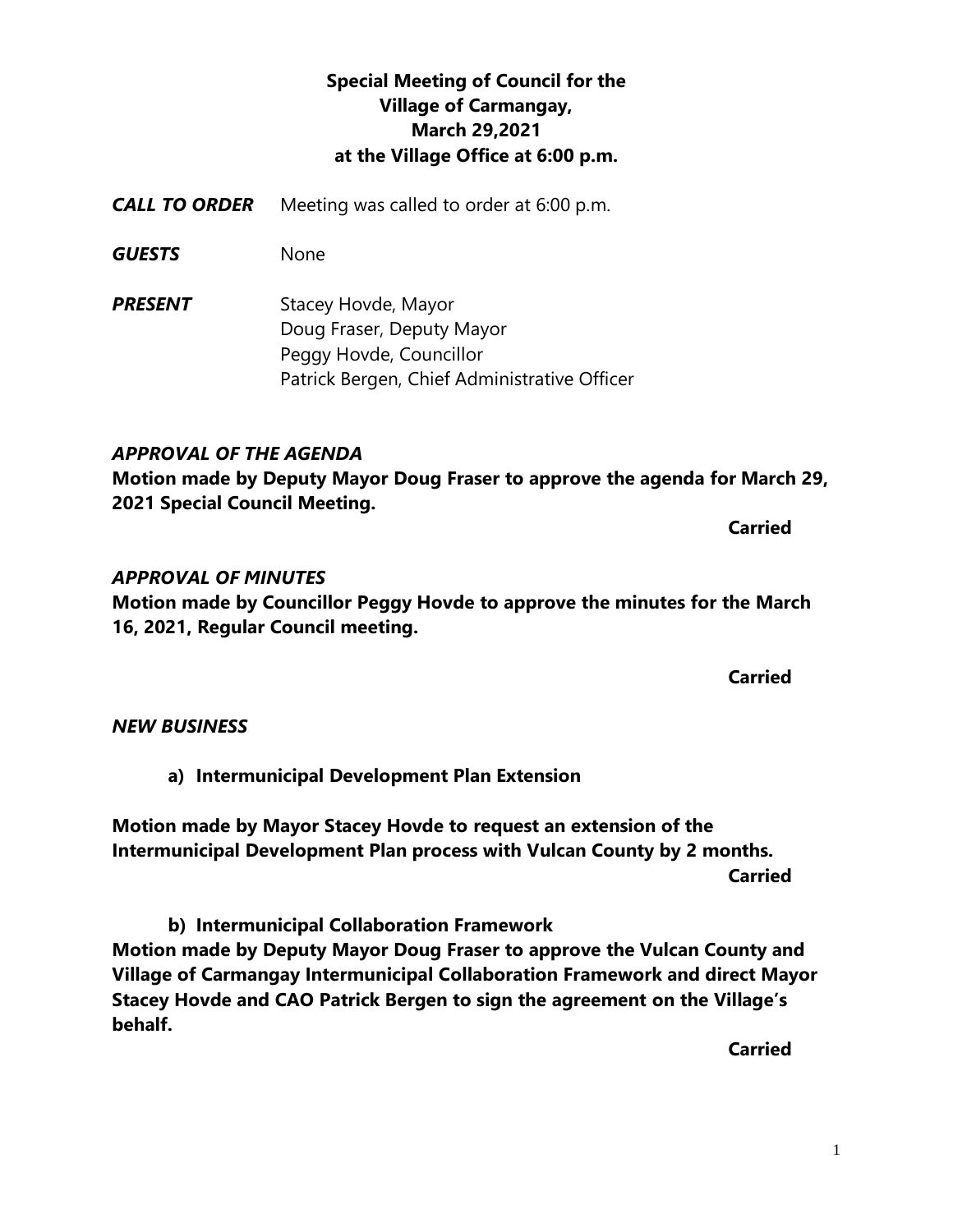# **Special Meeting of Council for the Village of Carmangay, March 29,2021 at the Village Office at 6:00 p.m.**

- *CALL TO ORDER* Meeting was called to order at 6:00 p.m.
- *GUESTS* None
- **PRESENT** Stacey Hovde, Mayor Doug Fraser, Deputy Mayor Peggy Hovde, Councillor Patrick Bergen, Chief Administrative Officer

## *APPROVAL OF THE AGENDA*

**Motion made by Deputy Mayor Doug Fraser to approve the agenda for March 29, 2021 Special Council Meeting.**

**Carried** 

### *APPROVAL OF MINUTES*

**Motion made by Councillor Peggy Hovde to approve the minutes for the March 16, 2021, Regular Council meeting.**

**Carried**

#### *NEW BUSINESS*

**a) Intermunicipal Development Plan Extension**

**Motion made by Mayor Stacey Hovde to request an extension of the Intermunicipal Development Plan process with Vulcan County by 2 months. Carried**

**b) Intermunicipal Collaboration Framework Motion made by Deputy Mayor Doug Fraser to approve the Vulcan County and Village of Carmangay Intermunicipal Collaboration Framework and direct Mayor Stacey Hovde and CAO Patrick Bergen to sign the agreement on the Village's behalf.**

**Carried**